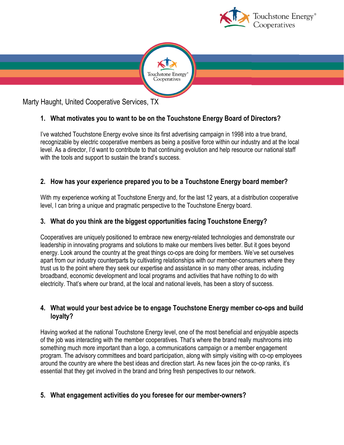



Marty Haught, United Cooperative Services, TX

# **1. What motivates you to want to be on the Touchstone Energy Board of Directors?**

I've watched Touchstone Energy evolve since its first advertising campaign in 1998 into a true brand, recognizable by electric cooperative members as being a positive force within our industry and at the local level. As a director, I'd want to contribute to that continuing evolution and help resource our national staff with the tools and support to sustain the brand's success.

## **2. How has your experience prepared you to be a Touchstone Energy board member?**

With my experience working at Touchstone Energy and, for the last 12 years, at a distribution cooperative level, I can bring a unique and pragmatic perspective to the Touchstone Energy board.

### **3. What do you think are the biggest opportunities facing Touchstone Energy?**

Cooperatives are uniquely positioned to embrace new energy-related technologies and demonstrate our leadership in innovating programs and solutions to make our members lives better. But it goes beyond energy. Look around the country at the great things co-ops are doing for members. We've set ourselves apart from our industry counterparts by cultivating relationships with our member-consumers where they trust us to the point where they seek our expertise and assistance in so many other areas, including broadband, economic development and local programs and activities that have nothing to do with electricity. That's where our brand, at the local and national levels, has been a story of success.

### **4. What would your best advice be to engage Touchstone Energy member co-ops and build loyalty?**

Having worked at the national Touchstone Energy level, one of the most beneficial and enjoyable aspects of the job was interacting with the member cooperatives. That's where the brand really mushrooms into something much more important than a logo, a communications campaign or a member engagement program. The advisory committees and board participation, along with simply visiting with co-op employees around the country are where the best ideas and direction start. As new faces join the co-op ranks, it's essential that they get involved in the brand and bring fresh perspectives to our network.

### **5. What engagement activities do you foresee for our member-owners?**